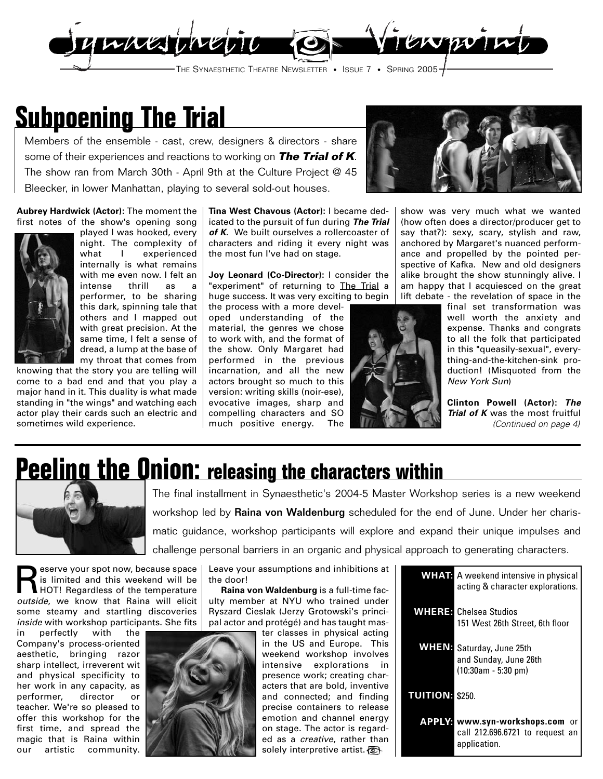

## **Subpoening The Trial**

Members of the ensemble - cast, crew, designers & directors - share some of their experiences and reactions to working on **The Trial of K**. The show ran from March 30th - April 9th at the Culture Project @ 45 Bleecker, in lower Manhattan, playing to several sold-out houses.



**Aubrey Hardwick (Actor):** The moment the first notes of the show's opening song



played I was hooked, every night. The complexity of what I experienced internally is what remains with me even now. I felt an intense thrill as a performer, to be sharing this dark, spinning tale that others and I mapped out with great precision. At the same time, I felt a sense of dread, a lump at the base of my throat that comes from

knowing that the story you are telling will come to a bad end and that you play a major hand in it. This duality is what made standing in "the wings" and watching each actor play their cards such an electric and sometimes wild experience.

**Tina West Chavous (Actor):** I became dedicated to the pursuit of fun during **The Trial of K**. We built ourselves a rollercoaster of characters and riding it every night was the most fun I've had on stage.

**Joy Leonard (Co-Director):** I consider the "experiment" of returning to The Trial a huge success. It was very exciting to begin

the process with a more developed understanding of the material, the genres we chose to work with, and the format of the show. Only Margaret had performed in the previous incarnation, and all the new actors brought so much to this version: writing skills (noir-ese), evocative images, sharp and compelling characters and SO much positive energy. The



show was very much what we wanted (how often does a director/producer get to say that?): sexy, scary, stylish and raw, anchored by Margaret's nuanced performance and propelled by the pointed perspective of Kafka. New and old designers alike brought the show stunningly alive. I am happy that I acquiesced on the great lift debate - the revelation of space in the

final set transformation was well worth the anxiety and expense. Thanks and congrats to all the folk that participated in this "queasily-sexual", everything-and-the-kitchen-sink production! (Misquoted from the New York Sun)

**Clinton Powell (Actor): The Trial of K** was the most fruitful (Continued on page 4)

### **Peeling the Onion: releasing the characters within**



The final installment in Synaesthetic's 2004-5 Master Workshop series is a new weekend workshop led by Raina von Waldenburg scheduled for the end of June. Under her charismatic guidance, workshop participants will explore and expand their unique impulses and challenge personal barriers in an organic and physical approach to generating characters.

eserve your spot now, because space is limited and this weekend will be HOT! Regardless of the temperature outside, we know that Raina will elicit some steamy and startling discoveries inside with workshop participants. She fits

in perfectly with the Company's process-oriented aesthetic, bringing razor sharp intellect, irreverent wit and physical specificity to her work in any capacity, as performer, director or teacher. We're so pleased to offer this workshop for the first time, and spread the magic that is Raina within our artistic community.



Leave your assumptions and inhibitions at the door!

**Raina von Waldenburg** is a full-time faculty member at NYU who trained under Ryszard Cieslak (Jerzy Grotowski's principal actor and protégé) and has taught mas-

> ter classes in physical acting in the US and Europe. This weekend workshop involves intensive explorations in presence work; creating characters that are bold, inventive and connected; and finding precise containers to release emotion and channel energy on stage. The actor is regarded as a creative, rather than solely interpretive artist.

|                 | <b>WHAT</b> A weekend intensive in physical<br>acting & character explorations. |
|-----------------|---------------------------------------------------------------------------------|
|                 | WHERE Chelsea Studios<br>151 West 26th Street, 6th floor                        |
| WHEN:           | Saturday, June 25th<br>and Sunday, June 26th<br>$(10:30am - 5:30 pm)$           |
| <b>TUITION:</b> | \$250.                                                                          |
| LY:             | www.syn-workshops.com<br>.or<br>call 212.696.6721 to request an<br>application. |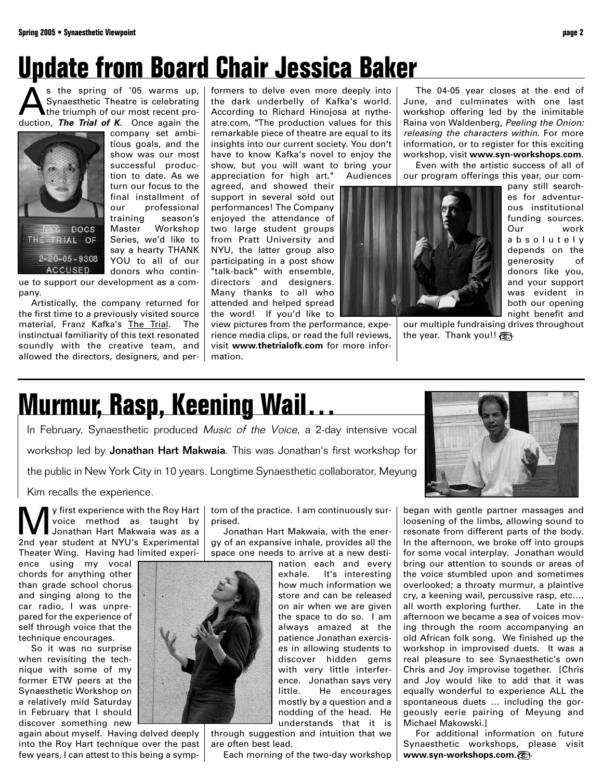# **Update from Board Chair Jessica Baker**

 $\sum_{\text{synaesthetic Theatre is celebrated}}$  spring of '05 warms up,<br>the triumph of our most recent pro-Synaesthetic Theatre is celebrating the triumph of our most recent production, **The Trial of K**. Once again the



company set ambitious goals, and the show was our most successful production to date. As we turn our focus to the final installment of our professional training season's Master Workshop Series, we'd like to say a hearty THANK YOU to all of our donors who contin-

ue to support our development as a company.

Artistically, the company returned for the first time to a previously visited source material, Franz Kafka's The Trial. The instinctual familiarity of this text resonated soundly with the creative team, and allowed the directors, designers, and performers to delve even more deeply into the dark underbelly of Kafka's world. According to Richard Hinojosa at nytheatre.com, "The production values for this remarkable piece of theatre are equal to its insights into our current society. You don't have to know Kafka's novel to enjoy the show, but you will want to bring your

appreciation for high art." Audiences agreed, and showed their support in several sold out performances! The Company enjoyed the attendance of two large student groups from Pratt University and NYU, the latter group also participating in a post show "talk-back" with ensemble, directors and designers. Many thanks to all who attended and helped spread the word! If you'd like to

view pictures from the performance, experience media clips, or read the full reviews, visit **www.thetrialofk.com** for more information.

The 04-05 year closes at the end of June, and culminates with one last workshop offering led by the inimitable Raina von Waldenberg, Peeling the Onion: releasing the characters within. For more information, or to register for this exciting workshop, visit **www.syn-workshops.com**.

Even with the artistic success of all of our program offerings this year, our com-



pany still searches for adventurous institutional funding sources. Our work absolutely depends on the generosity of donors like you, and your support was evident in both our opening night benefit and

our multiple fundraising drives throughout the year. Thank you!!

# **Murmur, Rasp, Keening Wail…**

In February, Synaesthetic produced Music of the Voice, a 2-day intensive vocal workshop led by Jonathan Hart Makwaia. This was Jonathan's first workshop for the public in New York City in 10 years. Longtime Synaesthetic collaborator, Meyung

Kim recalls the experience.

We y first experience with the Roy Hart<br>
Voice method as taught by<br>
Jonathan Hart Makwaia was as a<br>
2nd voir student at NYLEs Experimental voice method as taught by 2nd year student at NYU's Experimental Theater Wing. Having had limited experi-

ence using my vocal chords for anything other than grade school chorus and singing along to the car radio, I was unprepared for the experience of self through voice that the technique encourages.

So it was no surprise when revisiting the technique with some of my former ETW peers at the Synaesthetic Workshop on a relatively mild Saturday in February that I should discover something new

again about myself. Having delved deeply into the Roy Hart technique over the past few years, I can attest to this being a symp-

tom of the practice. I am continuously surprised.

Jonathan Hart Makwaia, with the energy of an expansive inhale, provides all the space one needs to arrive at a new desti-

> nation each and every exhale. It's interesting how much information we store and can be released on air when we are given the space to do so. I am always amazed at the patience Jonathan exercises in allowing students to discover hidden gems with very little interference. Jonathan says very little. He encourages mostly by a question and a nodding of the head. He understands that it is

through suggestion and intuition that we are often best lead.

Each morning of the two-day workshop



began with gentle partner massages and loosening of the limbs, allowing sound to resonate from different parts of the body. In the afternoon, we broke off into groups for some vocal interplay. Jonathan would bring our attention to sounds or areas of the voice stumbled upon and sometimes overlooked; a throaty murmur, a plaintive cry, a keening wail, percussive rasp, etc…. all worth exploring further. Late in the afternoon we became a sea of voices moving through the room accompanying an old African folk song. We finished up the workshop in improvised duets. It was a real pleasure to see Synaesthetic's own Chris and Joy improvise together. [Chris and Joy would like to add that it was equally wonderful to experience ALL the spontaneous duets … including the gorgeously eerie pairing of Meyung and Michael Makowski.]

For additional information on future Synaesthetic workshops, please visit **www.syn-workshops.com**.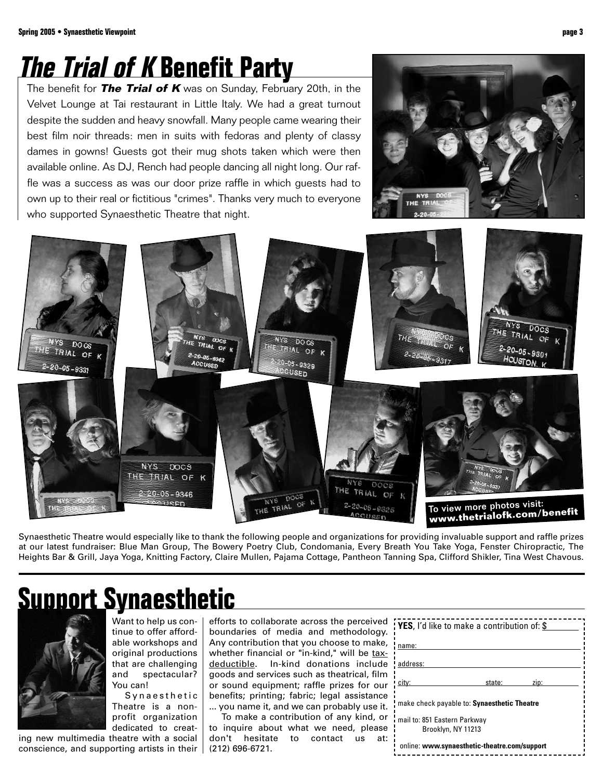# **The Trial of K Benefit Party**

The benefit for **The Trial of K** was on Sunday, February 20th, in the Velvet Lounge at Tai restaurant in Little Italy. We had a great turnout despite the sudden and heavy snowfall. Many people came wearing their best film noir threads: men in suits with fedoras and plenty of classy dames in gowns! Guests got their mug shots taken which were then available online. As DJ, Rench had people dancing all night long. Our raffle was a success as was our door prize raffle in which guests had to own up to their real or fictitious "crimes". Thanks very much to everyone who supported Synaesthetic Theatre that night.





Synaesthetic Theatre would especially like to thank the following people and organizations for providing invaluable support and raffle prizes at our latest fundraiser: Blue Man Group, The Bowery Poetry Club, Condomania, Every Breath You Take Yoga, Fenster Chiropractic, The Heights Bar & Grill, Jaya Yoga, Knitting Factory, Claire Mullen, Pajama Cottage, Pantheon Tanning Spa, Clifford Shikler, Tina West Chavous.

# **Support Synaesthetic**



Want to help us continue to offer affordable workshops and original productions that are challenging and spectacular? You can!

Synaesthetic Theatre is a nonprofit organization dedicated to creat-

ing new multimedia theatre with a social conscience, and supporting artists in their

efforts to collaborate across the perceived boundaries of media and methodology. Any contribution that you choose to make, whether financial or "in-kind," will be taxdeductible. In-kind donations include goods and services such as theatrical, film or sound equipment; raffle prizes for our benefits; printing; fabric; legal assistance ... you name it, and we can probably use it.

To make a contribution of any kind, or to inquire about what we need, please don't hesitate to contact us at: (212) 696-6721.

| <b>: YES</b> , I'd like to make a contribution of: \$ |        |      |  |
|-------------------------------------------------------|--------|------|--|
| name:                                                 |        |      |  |
| address:                                              |        |      |  |
| city:                                                 | state: | zip: |  |
| make check payable to: Synaesthetic Theatre           |        |      |  |
| mail to: 851 Eastern Parkway                          |        |      |  |
| Brooklyn, NY 11213                                    |        |      |  |
| online: www.synaesthetic-theatre.com/support          |        |      |  |